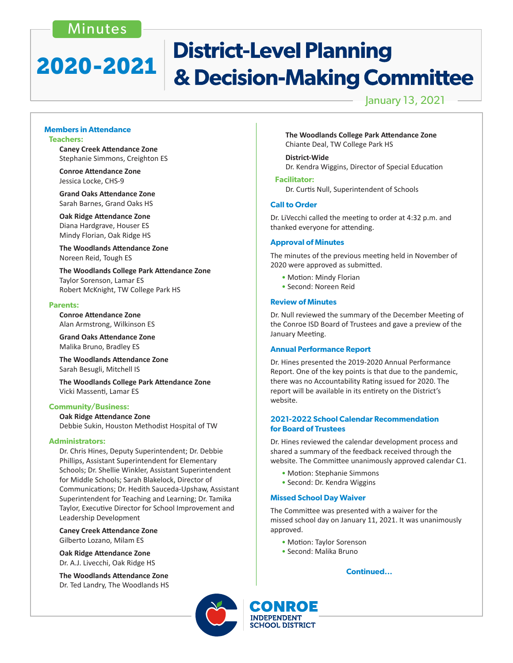## Minutes

## **District-Level Planning** 2020-2021 & Decision-Making Committee

## January 13, 2021

#### **Members in Attendance Teachers:**

 **Caney Creek Attendance Zone** Stephanie Simmons, Creighton ES

 **Conroe Attendance Zone** Jessica Locke, CHS-9

 **Grand Oaks Attendance Zone** Sarah Barnes, Grand Oaks HS

**Oak Ridge Attendance Zone** Diana Hardgrave, Houser ES Mindy Florian, Oak Ridge HS

 **The Woodlands Attendance Zone** Noreen Reid, Tough ES

 **The Woodlands College Park Attendance Zone** Taylor Sorenson, Lamar ES Robert McKnight, TW College Park HS

#### **Parents:**

 **Conroe Attendance Zone** Alan Armstrong, Wilkinson ES

**Grand Oaks Attendance Zone** Malika Bruno, Bradley ES

**The Woodlands Attendance Zone** Sarah Besugli, Mitchell IS

 **The Woodlands College Park Attendance Zone** Vicki Massenti, Lamar ES

### **Community/Business:**

**Oak Ridge Attendance Zone** Debbie Sukin, Houston Methodist Hospital of TW

#### **Administrators:**

Dr. Chris Hines, Deputy Superintendent; Dr. Debbie Phillips, Assistant Superintendent for Elementary Schools; Dr. Shellie Winkler, Assistant Superintendent for Middle Schools; Sarah Blakelock, Director of Communications; Dr. Hedith Sauceda-Upshaw, Assistant Superintendent for Teaching and Learning; Dr. Tamika Taylor, Executive Director for School Improvement and Leadership Development

 **Caney Creek Attendance Zone**  Gilberto Lozano, Milam ES

 **Oak Ridge Attendance Zone**  Dr. A.J. Livecchi, Oak Ridge HS

 **The Woodlands Attendance Zone** Dr. Ted Landry, The Woodlands HS  **The Woodlands College Park Attendance Zone**  Chiante Deal, TW College Park HS

### **District-Wide**

 Dr. Kendra Wiggins, Director of Special Education

#### **Facilitator:**

 Dr. Curtis Null, Superintendent of Schools

#### **Call to Order**

Dr. LiVecchi called the meeting to order at 4:32 p.m. and thanked everyone for attending.

#### **Approval of Minutes**

The minutes of the previous meeting held in November of 2020 were approved as submitted.

- Motion: Mindy Florian
- Second: Noreen Reid

#### **Review of Minutes**

Dr. Null reviewed the summary of the December Meeting of the Conroe ISD Board of Trustees and gave a preview of the January Meeting.

#### **Annual Performance Report**

Dr. Hines presented the 2019-2020 Annual Performance Report. One of the key points is that due to the pandemic, there was no Accountability Rating issued for 2020. The report will be available in its entirety on the District's website.

#### **2021-2022 School Calendar Recommendation for Board of Trustees**

Dr. Hines reviewed the calendar development process and shared a summary of the feedback received through the website. The Committee unanimously approved calendar C1.

- Motion: Stephanie Simmons
- Second: Dr. Kendra Wiggins

#### **Missed School Day Waiver**

The Committee was presented with a waiver for the missed school day on January 11, 2021. It was unanimously approved.

- Motion: Taylor Sorenson
- Second: Malika Bruno

### **Continued...**